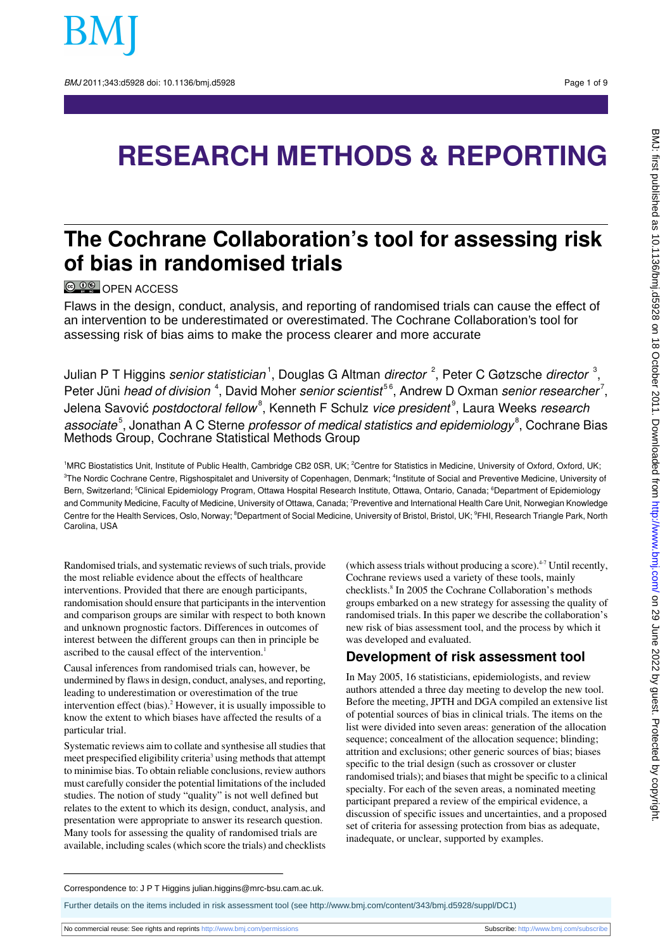BMJ 2011:343:d5928 doi: 10.1136/bmi.d5928 example 1 of 9

# **RESEARCH METHODS & REPORTING**

## **The Cochrane Collaboration's tool for assessing risk of bias in randomised trials**

COO OPEN ACCESS

Flaws in the design, conduct, analysis, and reporting of randomised trials can cause the effect of an intervention to be underestimated or overestimated. The Cochrane Collaboration's tool for assessing risk of bias aims to make the process clearer and more accurate

Julian P T Higgins *senior statistician*  $^1$ , Douglas G Altman *director*  $^2$ , Peter C Gøtzsche *director*  $^3$ , Peter Jüni *head of division*  $^4$ *, David Moher senior scientist* $^{56}$ *, Andrew D Oxman <i>senior researcher* $^7$ *,* Jelena Savović *postdoctoral fellow*<sup>8</sup>, Kenneth F Schulz *vice president*  $^{\circ}$ , Laura Weeks *research* associate<sup>5</sup>, Jonathan A C Sterne *professor of medical statistics and epidemiology*<sup>8</sup>, Cochrane Bias Methods Group, Cochrane Statistical Methods Group

<sup>1</sup>MRC Biostatistics Unit, Institute of Public Health, Cambridge CB2 0SR, UK; <sup>2</sup>Centre for Statistics in Medicine, University of Oxford, Oxford, UK; <sup>3</sup>The Nordic Cochrane Centre, Rigshospitalet and University of Copenhagen, Denmark; <sup>4</sup>Institute of Social and Preventive Medicine, University of Bern, Switzerland; <sup>5</sup>Clinical Epidemiology Program, Ottawa Hospital Research Institute, Ottawa, Ontario, Canada; <sup>6</sup>Department of Epidemiology and Community Medicine, Faculty of Medicine, University of Ottawa, Canada; <sup>7</sup>Preventive and International Health Care Unit, Norwegian Knowledge Centre for the Health Services, Oslo, Norway; <sup>8</sup>Department of Social Medicine, University of Bristol, Bristol, UK; <sup>9</sup>FHI, Research Triangle Park, North Carolina, USA

Randomised trials, and systematic reviews of such trials, provide the most reliable evidence about the effects of healthcare interventions. Provided that there are enough participants, randomisation should ensure that participants in the intervention and comparison groups are similar with respect to both known and unknown prognostic factors. Differences in outcomes of interest between the different groups can then in principle be ascribed to the causal effect of the intervention.

Causal inferences from randomised trials can, however, be undermined by flaws in design, conduct, analyses, and reporting, leading to underestimation or overestimation of the true intervention effect (bias).<sup>2</sup> However, it is usually impossible to know the extent to which biases have affected the results of a particular trial.

Systematic reviews aim to collate and synthesise all studies that meet prespecified eligibility criteria<sup>3</sup> using methods that attempt to minimise bias. To obtain reliable conclusions, review authors must carefully consider the potential limitations of the included studies. The notion of study "quality" is not well defined but relates to the extent to which its design, conduct, analysis, and presentation were appropriate to answer its research question. Many tools for assessing the quality of randomised trials are available, including scales (which score the trials) and checklists

(which assess trials without producing a score). $4-7$  Until recently, Cochrane reviews used a variety of these tools, mainly checklists.<sup>8</sup> In 2005 the Cochrane Collaboration's methods groups embarked on a new strategy for assessing the quality of randomised trials. In this paper we describe the collaboration's new risk of bias assessment tool, and the process by which it was developed and evaluated.

### **Development of risk assessment tool**

In May 2005, 16 statisticians, epidemiologists, and review authors attended a three day meeting to develop the new tool. Before the meeting, JPTH and DGA compiled an extensive list of potential sources of bias in clinical trials. The items on the list were divided into seven areas: generation of the allocation sequence; concealment of the allocation sequence; blinding; attrition and exclusions; other generic sources of bias; biases specific to the trial design (such as crossover or cluster randomised trials); and biases that might be specific to a clinical specialty. For each of the seven areas, a nominated meeting participant prepared a review of the empirical evidence, a discussion of specific issues and uncertainties, and a proposed set of criteria for assessing protection from bias as adequate, inadequate, or unclear, supported by examples.

BMJ: first published as 10.1136/bmj.d5928 on 18 October 2011. Downloaded from http://www.bmj.com/ on 29 June 2022 by guest. Protected by copyright BMJ: first published as 10.1136/bmj.d5928 on 18 October 2011. Downloaded from <http://www.bmj.com/> on 29 June 2022 by guest. Protected by copyright.

Correspondence to: J P T Higgins julian.higgins@mrc-bsu.cam.ac.uk.

Further details on the items included in risk assessment tool (see <http://www.bmj.com/content/343/bmj.d5928/suppl/DC1>)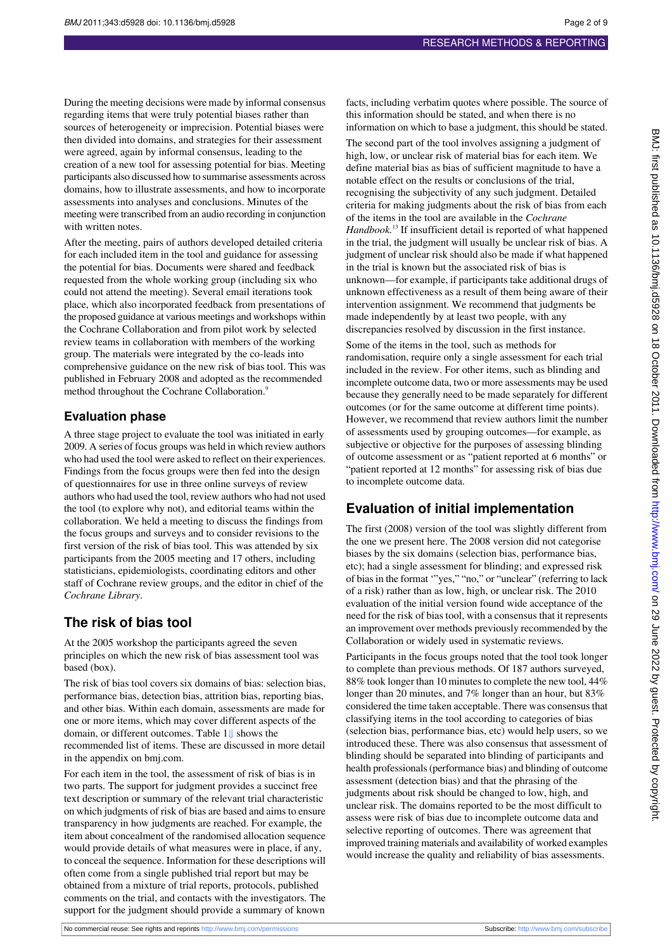During the meeting decisions were made by informal consensus regarding items that were truly potential biases rather than sources of heterogeneity or imprecision. Potential biases were then divided into domains, and strategies for their assessment were agreed, again by informal consensus, leading to the creation of a new tool for assessing potential for bias. Meeting participants also discussed how to summarise assessments across domains, how to illustrate assessments, and how to incorporate assessments into analyses and conclusions. Minutes of the meeting were transcribed from an audio recording in conjunction with written notes.

After the meeting, pairs of authors developed detailed criteria for each included item in the tool and guidance for assessing the potential for bias. Documents were shared and feedback requested from the whole working group (including six who could not attend the meeting). Several email iterations took place, which also incorporated feedback from presentations of the proposed guidance at various meetings and workshops within the Cochrane Collaboration and from pilot work by selected review teams in collaboration with members of the working group. The materials were integrated by the co-leads into comprehensive guidance on the new risk of bias tool. This was published in February 2008 and adopted as the recommended method throughout the Cochrane Collaboration.<sup>9</sup>

### **Evaluation phase**

A three stage project to evaluate the tool was initiated in early 2009. A series of focus groups was held in which review authors who had used the tool were asked to reflect on their experiences. Findings from the focus groups were then fed into the design of questionnaires for use in three online surveys of review authors who had used the tool, review authors who had not used the tool (to explore why not), and editorial teams within the collaboration. We held a meeting to discuss the findings from the focus groups and surveys and to consider revisions to the first version of the risk of bias tool. This was attended by six participants from the 2005 meeting and 17 others, including statisticians, epidemiologists, coordinating editors and other staff of Cochrane review groups, and the editor in chief of the *Cochrane Library*.

### **The risk of bias tool**

At the 2005 workshop the participants agreed the seven principles on which the new risk of bias assessment tool was based (box).

The risk of bias tool covers six domains of bias: selection bias, performance bias, detection bias, attrition bias, reporting bias, and other bias. Within each domain, assessments are made for one or more items, which may cover different aspects of the domain, or different outcomes. Table [1⇓](#page-5-0) shows the recommended list of items. These are discussed in more detail in the appendix on bmj.com.

For each item in the tool, the assessment of risk of bias is in two parts. The support for judgment provides a succinct free text description or summary of the relevant trial characteristic on which judgments of risk of bias are based and aims to ensure transparency in how judgments are reached. For example, the item about concealment of the randomised allocation sequence would provide details of what measures were in place, if any, to conceal the sequence. Information for these descriptions will often come from a single published trial report but may be obtained from a mixture of trial reports, protocols, published comments on the trial, and contacts with the investigators. The support for the judgment should provide a summary of known

facts, including verbatim quotes where possible. The source of this information should be stated, and when there is no information on which to base a judgment, this should be stated.

The second part of the tool involves assigning a judgment of high, low, or unclear risk of material bias for each item. We define material bias as bias of sufficient magnitude to have a notable effect on the results or conclusions of the trial, recognising the subjectivity of any such judgment. Detailed criteria for making judgments about the risk of bias from each of the items in the tool are available in the *Cochrane Handbook.*<sup>13</sup> If insufficient detail is reported of what happened in the trial, the judgment will usually be unclear risk of bias. A judgment of unclear risk should also be made if what happened in the trial is known but the associated risk of bias is unknown—for example, if participants take additional drugs of unknown effectiveness as a result of them being aware of their intervention assignment. We recommend that judgments be made independently by at least two people, with any discrepancies resolved by discussion in the first instance.

Some of the items in the tool, such as methods for randomisation, require only a single assessment for each trial included in the review. For other items, such as blinding and incomplete outcome data, two or more assessments may be used because they generally need to be made separately for different outcomes (or for the same outcome at different time points). However, we recommend that review authors limit the number of assessments used by grouping outcomes—for example, as subjective or objective for the purposes of assessing blinding of outcome assessment or as "patient reported at 6 months" or "patient reported at 12 months" for assessing risk of bias due to incomplete outcome data.

### **Evaluation of initial implementation**

The first (2008) version of the tool was slightly different from the one we present here. The 2008 version did not categorise biases by the six domains (selection bias, performance bias, etc); had a single assessment for blinding; and expressed risk of bias in the format '"yes," "no," or "unclear" (referring to lack of a risk) rather than as low, high, or unclear risk. The 2010 evaluation of the initial version found wide acceptance of the need for the risk of bias tool, with a consensus that it represents an improvement over methods previously recommended by the Collaboration or widely used in systematic reviews.

Participants in the focus groups noted that the tool took longer to complete than previous methods. Of 187 authors surveyed, 88% took longer than 10 minutes to complete the new tool, 44% longer than 20 minutes, and 7% longer than an hour, but 83% considered the time taken acceptable. There was consensus that classifying items in the tool according to categories of bias (selection bias, performance bias, etc) would help users, so we introduced these. There was also consensus that assessment of blinding should be separated into blinding of participants and health professionals (performance bias) and blinding of outcome assessment (detection bias) and that the phrasing of the judgments about risk should be changed to low, high, and unclear risk. The domains reported to be the most difficult to assess were risk of bias due to incomplete outcome data and selective reporting of outcomes. There was agreement that improved training materials and availability of worked examples would increase the quality and reliability of bias assessments.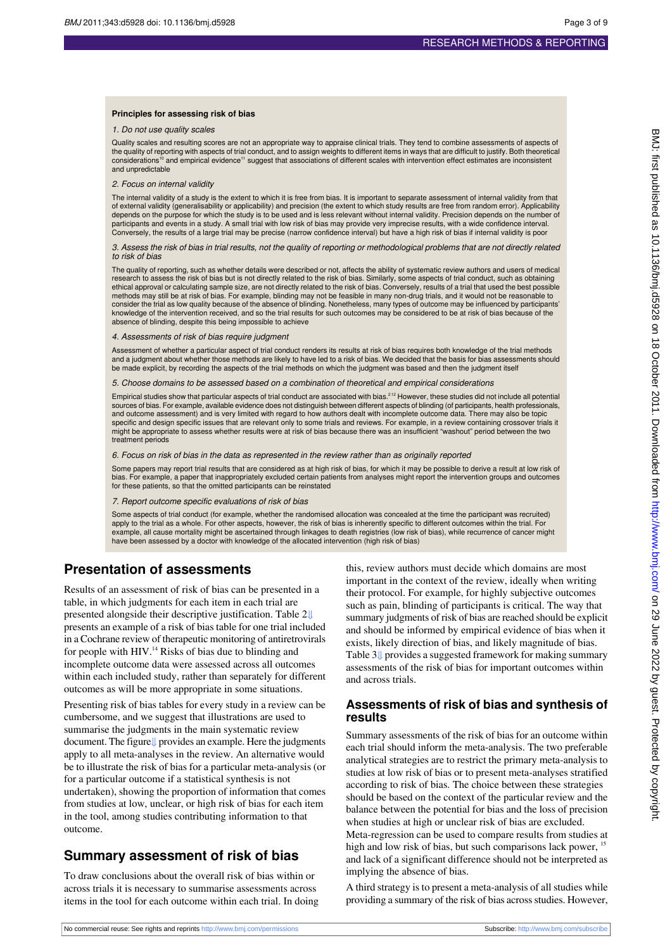#### **Principles for assessing risk of bias**

1. Do not use quality scales

Quality scales and resulting scores are not an appropriate way to appraise clinical trials. They tend to combine assessments of aspects of the quality of reporting with aspects of trial conduct, and to assign weights to different items in ways that are difficult to justify. Both theoretical considerations<sup>10</sup> and empirical evidence<sup>11</sup> suggest that associations of different scales with intervention effect estimates are inconsistent and unpredictable

#### 2. Focus on internal validity

The internal validity of a study is the extent to which it is free from bias. It is important to separate assessment of internal validity from that<br>of external validity (generalisability or applicability) and precision (th depends on the purpose for which the study is to be used and is less relevant without internal validity. Precision depends on the number of participants and events in a study. A small trial with low risk of bias may provide very imprecise results, with a wide confidence interval.<br>Conversely, the results of a large trial may be precise (narrow confidence interv

3. Assess the risk of bias in trial results, not the quality of reporting or methodological problems that are not directly related to risk of bias

The quality of reporting, such as whether details were described or not, affects the ability of systematic review authors and users of medical research to assess the risk of bias but is not directly related to the risk of bias. Similarly, some aspects of trial conduct, such as obtaining ethical approval or calculating sample size, are not directly related to the risk of bias. Conversely, results of a trial that used the best possible methods may still be at risk of bias. For example, blinding may not be feasible in many non-drug trials, and it would not be reasonable to<br>consider the trial as low quality because of the absence of blinding. Nonetheless, knowledge of the intervention received, and so the trial results for such outcomes may be considered to be at risk of bias because of the absence of blinding, despite this being impossible to achieve

4. Assessments of risk of bias require judgment

Assessment of whether a particular aspect of trial conduct renders its results at risk of bias requires both knowledge of the trial methods and a judgment about whether those methods are likely to have led to a risk of bias. We decided that the basis for bias assessments should be made explicit, by recording the aspects of the trial methods on which the judgment was based and then the judgment itself

5. Choose domains to be assessed based on a combination of theoretical and empirical considerations

Empirical studies show that particular aspects of trial conduct are associated with bias.<sup>212</sup> However, these studies did not include all potential sources of bias. For example, available evidence does not distinguish between different aspects of blinding (of participants, health professionals, and outcome assessment) and is very limited with regard to how authors dealt with incomplete outcome data. There may also be topic specific and design specific issues that are relevant only to some trials and reviews. For example, in a review containing crossover trials it<br>might be appropriate to assess whether results were at risk of bias because the treatment periods

#### 6. Focus on risk of bias in the data as represented in the review rather than as originally reported

Some papers may report trial results that are considered as at high risk of bias, for which it may be possible to derive a result at low risk of bias. For example, a paper that inappropriately excluded certain patients from analyses might report the intervention groups and outcomes for these patients, so that the omitted participants can be reinstated

7. Report outcome specific evaluations of risk of bias

Some aspects of trial conduct (for example, whether the randomised allocation was concealed at the time the participant was recruited) apply to the trial as a whole. For other aspects, however, the risk of bias is inherently specific to different outcomes within the trial. For example, all cause mortality might be ascertained through linkages to death registries (low risk of bias), while recurrence of cancer might have been assessed by a doctor with knowledge of the allocated intervention (high risk of bias)

### **Presentation of assessments**

Results of an assessment of risk of bias can be presented in a table, in which judgments for each item in each trial are presented alongside their descriptive justification. Table [2⇓](#page-6-0) presents an example of a risk of bias table for one trial included in a Cochrane review of therapeutic monitoring of antiretrovirals for people with HIV.<sup>14</sup> Risks of bias due to blinding and incomplete outcome data were assessed across all outcomes within each included study, rather than separately for different outcomes as will be more appropriate in some situations.

Presenting risk of bias tables for every study in a review can be cumbersome, and we suggest that illustrations are used to summarise the judgments in the main systematic review document. The figur[e⇓](#page-8-0) provides an example. Here the judgments apply to all meta-analyses in the review. An alternative would be to illustrate the risk of bias for a particular meta-analysis (or for a particular outcome if a statistical synthesis is not undertaken), showing the proportion of information that comes from studies at low, unclear, or high risk of bias for each item in the tool, among studies contributing information to that outcome.

### **Summary assessment of risk of bias**

To draw conclusions about the overall risk of bias within or across trials it is necessary to summarise assessments across items in the tool for each outcome within each trial. In doing

this, review authors must decide which domains are most important in the context of the review, ideally when writing their protocol. For example, for highly subjective outcomes such as pain, blinding of participants is critical. The way that summary judgments of risk of bias are reached should be explicit and should be informed by empirical evidence of bias when it exists, likely direction of bias, and likely magnitude of bias. Table [3⇓](#page-7-0) provides a suggested framework for making summary assessments of the risk of bias for important outcomes within and across trials.

#### **Assessments of risk of bias and synthesis of results**

Summary assessments of the risk of bias for an outcome within each trial should inform the meta-analysis. The two preferable analytical strategies are to restrict the primary meta-analysis to studies at low risk of bias or to present meta-analyses stratified according to risk of bias. The choice between these strategies should be based on the context of the particular review and the balance between the potential for bias and the loss of precision when studies at high or unclear risk of bias are excluded.

Meta-regression can be used to compare results from studies at high and low risk of bias, but such comparisons lack power, <sup>15</sup> and lack of a significant difference should not be interpreted as implying the absence of bias.

A third strategy is to present a meta-analysis of all studies while providing a summary of the risk of bias across studies. However,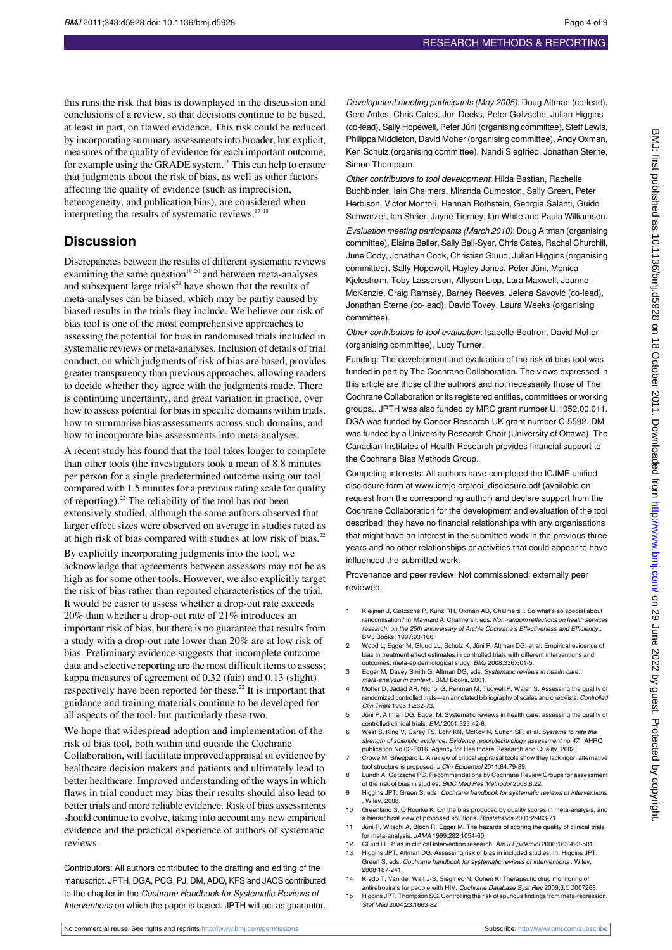this runs the risk that bias is downplayed in the discussion and conclusions of a review, so that decisions continue to be based, at least in part, on flawed evidence. This risk could be reduced by incorporating summary assessments into broader, but explicit, measures of the quality of evidence for each important outcome, for example using the GRADE system.<sup>16</sup> This can help to ensure that judgments about the risk of bias, as well as other factors affecting the quality of evidence (such as imprecision, heterogeneity, and publication bias), are considered when interpreting the results of systematic reviews.<sup>17</sup><sup>18</sup>

### **Discussion**

Discrepancies between the results of different systematic reviews examining the same question $1920$  and between meta-analyses and subsequent large trials<sup>21</sup> have shown that the results of meta-analyses can be biased, which may be partly caused by biased results in the trials they include. We believe our risk of bias tool is one of the most comprehensive approaches to assessing the potential for bias in randomised trials included in systematic reviews or meta-analyses. Inclusion of details of trial conduct, on which judgments of risk of bias are based, provides greater transparency than previous approaches, allowing readers to decide whether they agree with the judgments made. There is continuing uncertainty, and great variation in practice, over how to assess potential for bias in specific domains within trials, how to summarise bias assessments across such domains, and how to incorporate bias assessments into meta-analyses.

A recent study has found that the tool takes longer to complete than other tools (the investigators took a mean of 8.8 minutes per person for a single predetermined outcome using our tool compared with 1.5 minutes for a previous rating scale for quality of reporting). $^{22}$  The reliability of the tool has not been extensively studied, although the same authors observed that larger effect sizes were observed on average in studies rated as at high risk of bias compared with studies at low risk of bias.<sup>22</sup>

By explicitly incorporating judgments into the tool, we acknowledge that agreements between assessors may not be as high as for some other tools. However, we also explicitly target the risk of bias rather than reported characteristics of the trial. It would be easier to assess whether a drop-out rate exceeds 20% than whether a drop-out rate of 21% introduces an important risk of bias, but there is no guarantee that results from a study with a drop-out rate lower than 20% are at low risk of bias. Preliminary evidence suggests that incomplete outcome data and selective reporting are the most difficult items to assess; kappa measures of agreement of 0.32 (fair) and 0.13 (slight) respectively have been reported for these.<sup>22</sup> It is important that guidance and training materials continue to be developed for all aspects of the tool, but particularly these two.

We hope that widespread adoption and implementation of the risk of bias tool, both within and outside the Cochrane Collaboration, will facilitate improved appraisal of evidence by healthcare decision makers and patients and ultimately lead to better healthcare. Improved understanding of the ways in which flaws in trial conduct may bias their results should also lead to better trials and more reliable evidence. Risk of bias assessments should continue to evolve, taking into account any new empirical evidence and the practical experience of authors of systematic reviews.

Contributors: All authors contributed to the drafting and editing of the manuscript. JPTH, DGA, PCG, PJ, DM, ADO, KFS and JACS contributed to the chapter in the Cochrane Handbook for Systematic Reviews of Interventions on which the paper is based. JPTH will act as guarantor.

Development meeting participants (May 2005): Doug Altman (co-lead), Gerd Antes, Chris Cates, Jon Deeks, Peter Gøtzsche, Julian Higgins (co-lead), Sally Hopewell, Peter Jüni (organising committee), Steff Lewis, Philippa Middleton, David Moher (organising committee), Andy Oxman, Ken Schulz (organising committee), Nandi Siegfried, Jonathan Sterne, Simon Thompson.

Other contributors to tool development: Hilda Bastian, Rachelle Buchbinder, Iain Chalmers, Miranda Cumpston, Sally Green, Peter Herbison, Victor Montori, Hannah Rothstein, Georgia Salanti, Guido Schwarzer, Ian Shrier, Jayne Tierney, Ian White and Paula Williamson. Evaluation meeting participants (March 2010): Doug Altman (organising committee), Elaine Beller, Sally Bell-Syer, Chris Cates, Rachel Churchill, June Cody, Jonathan Cook, Christian Gluud, Julian Higgins (organising committee), Sally Hopewell, Hayley Jones, Peter Jűni, Monica Kjeldstrøm, Toby Lasserson, Allyson Lipp, Lara Maxwell, Joanne McKenzie, Craig Ramsey, Barney Reeves, Jelena Savović (co-lead), Jonathan Sterne (co-lead), David Tovey, Laura Weeks (organising committee).

Other contributors to tool evaluation: Isabelle Boutron, David Moher (organising committee), Lucy Turner.

Funding: The development and evaluation of the risk of bias tool was funded in part by The Cochrane Collaboration. The views expressed in this article are those of the authors and not necessarily those of The Cochrane Collaboration or its registered entities, committees or working groups.. JPTH was also funded by MRC grant number U.1052.00.011. DGA was funded by Cancer Research UK grant number C-5592. DM was funded by a University Research Chair (University of Ottawa). The Canadian Institutes of Health Research provides financial support to the Cochrane Bias Methods Group.

Competing interests: All authors have completed the ICJME unified disclosure form at [www.icmje.org/coi\\_disclosure.pdf](http://www.icmje.org/coi_disclosure.pdf) (available on request from the corresponding author) and declare support from the Cochrane Collaboration for the development and evaluation of the tool described; they have no financial relationships with any organisations that might have an interest in the submitted work in the previous three years and no other relationships or activities that could appear to have influenced the submitted work.

Provenance and peer review: Not commissioned; externally peer reviewed.

- 1 Kleijnen J, Gøtzsche P, Kunz RH, Oxman AD, Chalmers I. So what's so special about randomisation? In: Maynard A, Chalmers I, eds. Non-random reflections on health services research: on the 25th anniversary of Archie Cochrane's Effectiveness and Efficiency . BMJ Books, 1997:93-106.
- 2 Wood L, Egger M, Gluud LL, Schulz K, Jüni P, Altman DG, et al. Empirical evidence of bias in treatment effect estimates in controlled trials with different interventions and
- outcomes: meta-epidemiological study. BMJ 2008;336:601-5. 3 Egger M, Davey Smith G, Altman DG, eds. Systematic reviews in health care: meta-analysis in context . BMJ Books, 2001.
- 4 Moher D, Jadad AR, Nichol G, Penman M, Tugwell P, Walsh S. Assessing the quality of randomized controlled trials—an annotated bibliography of scales and checklists. Controlled Clin Trials 1995;12:62-73.
- 5 Jüni P, Altman DG, Egger M. Systematic reviews in health care: assessing the quality of controlled clinical trials. BMJ 2001;323:42-6.
- 6 West S, King V, Carey TS, Lohr KN, McKoy N, Sutton SF, et al. Systems to rate the strength of scientific evidence. Evidence report/technology assessment no 47. AHRQ publication No 02-E016. Agency for Healthcare Research and Quality, 2002.
- 7 Crowe M, Sheppard L. A review of critical appraisal tools show they lack rigor: alternative tool structure is proposed. J Clin Epidemiol 2011;64:79-89.
- 8 Lundh A, Gøtzsche PC. Recommendations by Cochrane Review Groups for assessment of the risk of bias in studies. BMC Med Res Methodol 2008;8:22.
- 9 Higgins JPT, Green S, eds. Cochrane handbook for systematic reviews of interventions . Wiley, 2008.
- 10 Greenland S, O'Rourke K. On the bias produced by quality scores in meta-analysis, and a hierarchical view of proposed solutions. Biostatistics 2001;2:463-71.
- 11 Jüni P, Witschi A, Bloch R, Egger M. The hazards of scoring the quality of clinical trials for meta-analysis. JAMA 1999;282:1054-60.
- 12 Gluud LL. Bias in clinical intervention research. Am J Epidemiol 2006;163:493-501.
- 13 Higgins JPT, Altman DG. Assessing risk of bias in included studies. In: Higgins JPT, Green S, eds. Cochrane handbook for systematic reviews of interventions . Wiley, 2008:187-241.
- 14 Kredo T, Van der Walt J-S, Siegfried N, Cohen K. Therapeutic drug monitoring of antiretrovirals for people with HIV. Cochrane Database Syst Rev 2009;3:CD007268.
- 15 Higgins JPT, Thompson SG. Controlling the risk of spurious findings from meta-regression. Stat Med 2004;23:1663-82.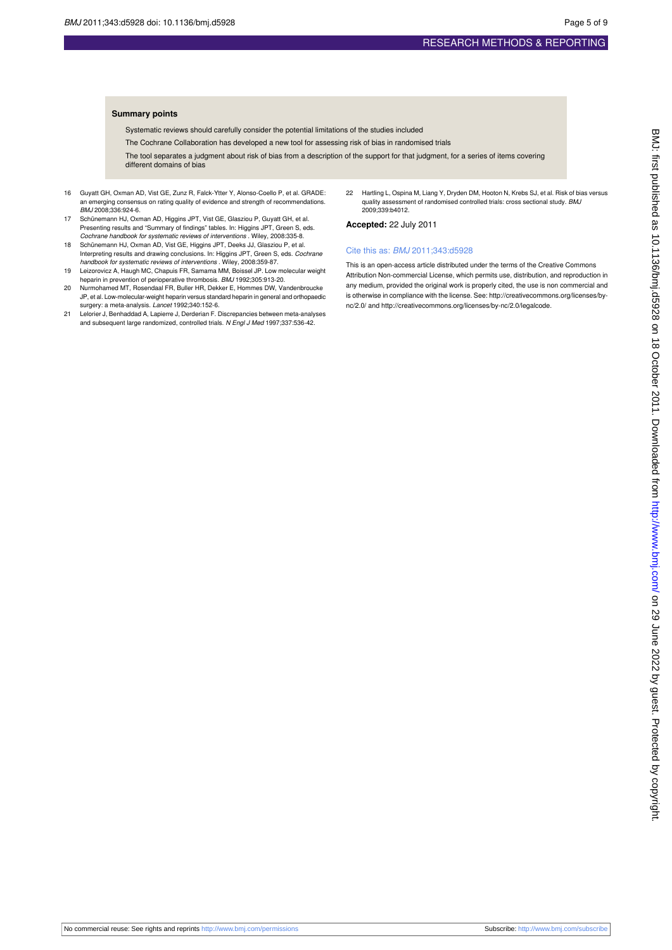#### **Summary points**

Systematic reviews should carefully consider the potential limitations of the studies included

The Cochrane Collaboration has developed a new tool for assessing risk of bias in randomised trials

The tool separates a judgment about risk of bias from a description of the support for that judgment, for a series of items covering different domains of bias

- 16 Guyatt GH, Oxman AD, Vist GE, Zunz R, Falck-Ytter Y, Alonso-Coello P, et al. GRADE: an emerging consensus on rating quality of evidence and strength of recommendations. BMJ 2008;336:924-6.
- 17 Schünemann HJ, Oxman AD, Higgins JPT, Vist GE, Glasziou P, Guyatt GH, et al. Presenting results and "Summary of findings" tables. In: Higgins JPT, Green S, eds. Cochrane handbook for systematic reviews of interventions . Wiley, 2008:335-8.
- 18 Schünemann HJ, Oxman AD, Vist GE, Higgins JPT, Deeks JJ, Glasziou P, et al. Interpreting results and drawing conclusions. In: Higgins JPT, Green S, eds. Cochrane handbook for systematic reviews of interventions . Wiley, 2008:359-87.
- 19 Leizorovicz A, Haugh MC, Chapuis FR, Samama MM, Boissel JP. Low molecular weight heparin in prevention of perioperative thrombosis. BMJ 1992;305:913-20.
- 20 Nurmohamed MT, Rosendaal FR, Buller HR, Dekker E, Hommes DW, Vandenbroucke JP, et al. Low-molecular-weight heparin versus standard heparin in general and orthopaedic surgery: a meta-analysis. Lancet 1992;340:152-6.
- 21 Lelorier J, Benhaddad A, Lapierre J, Derderian F. Discrepancies between meta-analyses and subsequent large randomized, controlled trials. N Engl J Med 1997;337:536-42.
- 22 Hartling L, Ospina M, Liang Y, Dryden DM, Hooton N, Krebs SJ, et al. Risk of bias versus quality assessment of randomised controlled trials: cross sectional study. BMJ 2009;339:b4012.

**Accepted:** 22 July 2011

#### Cite this as: BMJ 2011;343:d5928

This is an open-access article distributed under the terms of the Creative Commons Attribution Non-commercial License, which permits use, distribution, and reproduction in any medium, provided the original work is properly cited, the use is non commercial and is otherwise in compliance with the license. See: [http://creativecommons.org/licenses/by](http://creativecommons.org/licenses/by-nc/2.0/)[nc/2.0/](http://creativecommons.org/licenses/by-nc/2.0/) and<http://creativecommons.org/licenses/by-nc/2.0/legalcode>.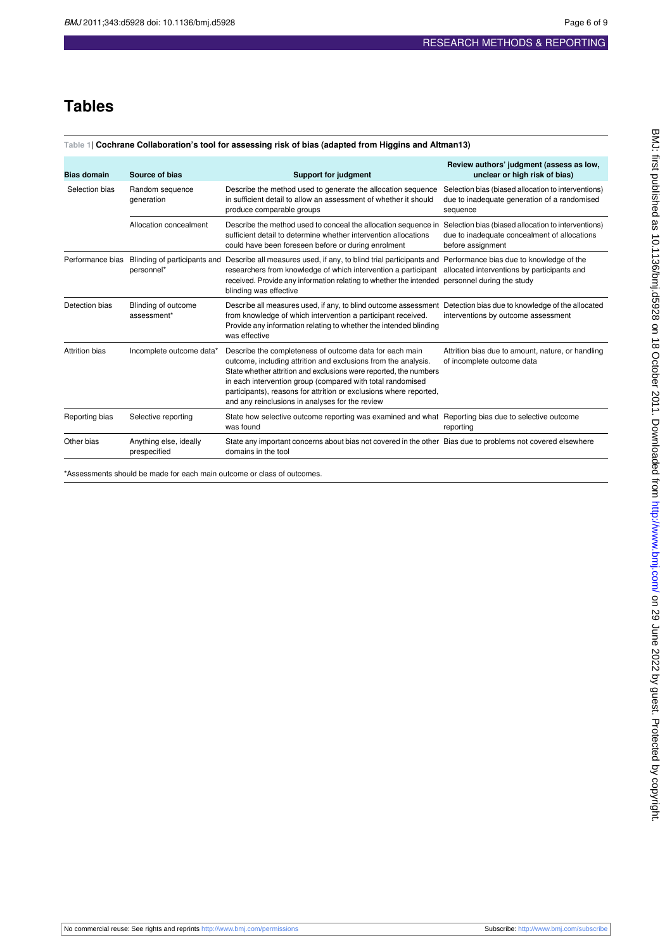### **Tables**

#### <span id="page-5-0"></span>**Table 1| Cochrane Collaboration's tool for assessing risk of bias (adapted from Higgins and Altman13)**

| <b>Bias domain</b>    | Source of bias                                              | <b>Support for judgment</b>                                                                                                                                                                                                                                                                                                                                                           | Review authors' judgment (assess as low,<br>unclear or high risk of bias)                                                |
|-----------------------|-------------------------------------------------------------|---------------------------------------------------------------------------------------------------------------------------------------------------------------------------------------------------------------------------------------------------------------------------------------------------------------------------------------------------------------------------------------|--------------------------------------------------------------------------------------------------------------------------|
| Selection bias        | Random sequence<br>generation                               | Describe the method used to generate the allocation sequence<br>in sufficient detail to allow an assessment of whether it should<br>produce comparable groups                                                                                                                                                                                                                         | Selection bias (biased allocation to interventions)<br>due to inadequate generation of a randomised<br>sequence          |
|                       | Allocation concealment                                      | Describe the method used to conceal the allocation sequence in<br>sufficient detail to determine whether intervention allocations<br>could have been foreseen before or during enrolment                                                                                                                                                                                              | Selection bias (biased allocation to interventions)<br>due to inadequate concealment of allocations<br>before assignment |
|                       | Performance bias Blinding of participants and<br>personnel* | Describe all measures used, if any, to blind trial participants and<br>researchers from knowledge of which intervention a participant<br>received. Provide any information relating to whether the intended<br>blinding was effective                                                                                                                                                 | Performance bias due to knowledge of the<br>allocated interventions by participants and<br>personnel during the study    |
| Detection bias        | Blinding of outcome<br>assessment*                          | Describe all measures used, if any, to blind outcome assessment Detection bias due to knowledge of the allocated<br>from knowledge of which intervention a participant received.<br>Provide any information relating to whether the intended blinding<br>was effective                                                                                                                | interventions by outcome assessment                                                                                      |
| <b>Attrition bias</b> | Incomplete outcome data*                                    | Describe the completeness of outcome data for each main<br>outcome, including attrition and exclusions from the analysis.<br>State whether attrition and exclusions were reported, the numbers<br>in each intervention group (compared with total randomised<br>participants), reasons for attrition or exclusions where reported.<br>and any reinclusions in analyses for the review | Attrition bias due to amount, nature, or handling<br>of incomplete outcome data                                          |
| Reporting bias        | Selective reporting                                         | State how selective outcome reporting was examined and what Reporting bias due to selective outcome<br>was found                                                                                                                                                                                                                                                                      | reporting                                                                                                                |
| Other bias            | Anything else, ideally<br>prespecified                      | State any important concerns about bias not covered in the other Bias due to problems not covered elsewhere<br>domains in the tool                                                                                                                                                                                                                                                    |                                                                                                                          |

\*Assessments should be made for each main outcome or class of outcomes.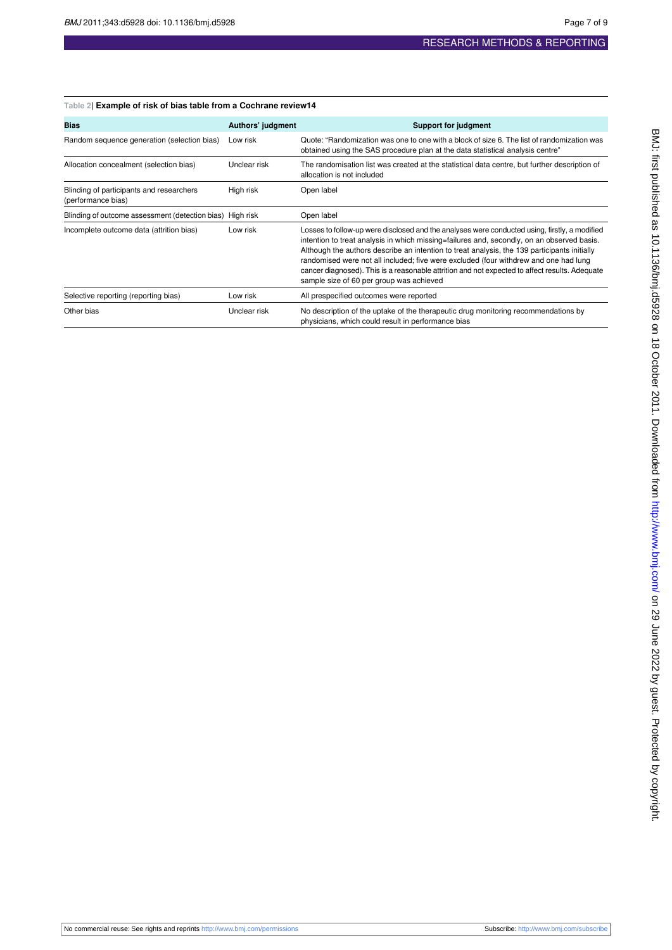#### <span id="page-6-0"></span>**Table 2| Example of risk of bias table from a Cochrane review14**

| <b>Bias</b>                                                    | Authors' judgment | <b>Support for judgment</b>                                                                                                                                                                                                                                                                                                                                                                                                                                                                                                       |
|----------------------------------------------------------------|-------------------|-----------------------------------------------------------------------------------------------------------------------------------------------------------------------------------------------------------------------------------------------------------------------------------------------------------------------------------------------------------------------------------------------------------------------------------------------------------------------------------------------------------------------------------|
| Random sequence generation (selection bias)                    | Low risk          | Quote: "Randomization was one to one with a block of size 6. The list of randomization was<br>obtained using the SAS procedure plan at the data statistical analysis centre"                                                                                                                                                                                                                                                                                                                                                      |
| Allocation concealment (selection bias)                        | Unclear risk      | The randomisation list was created at the statistical data centre, but further description of<br>allocation is not included                                                                                                                                                                                                                                                                                                                                                                                                       |
| Blinding of participants and researchers<br>(performance bias) | High risk         | Open label                                                                                                                                                                                                                                                                                                                                                                                                                                                                                                                        |
| Blinding of outcome assessment (detection bias)                | High risk         | Open label                                                                                                                                                                                                                                                                                                                                                                                                                                                                                                                        |
| Incomplete outcome data (attrition bias)                       | Low risk          | Losses to follow-up were disclosed and the analyses were conducted using, firstly, a modified<br>intention to treat analysis in which missing=failures and, secondly, on an observed basis.<br>Although the authors describe an intention to treat analysis, the 139 participants initially<br>randomised were not all included; five were excluded (four withdrew and one had lung<br>cancer diagnosed). This is a reasonable attrition and not expected to affect results. Adequate<br>sample size of 60 per group was achieved |
| Selective reporting (reporting bias)                           | Low risk          | All prespecified outcomes were reported                                                                                                                                                                                                                                                                                                                                                                                                                                                                                           |
| Other bias                                                     | Unclear risk      | No description of the uptake of the therapeutic drug monitoring recommendations by<br>physicians, which could result in performance bias                                                                                                                                                                                                                                                                                                                                                                                          |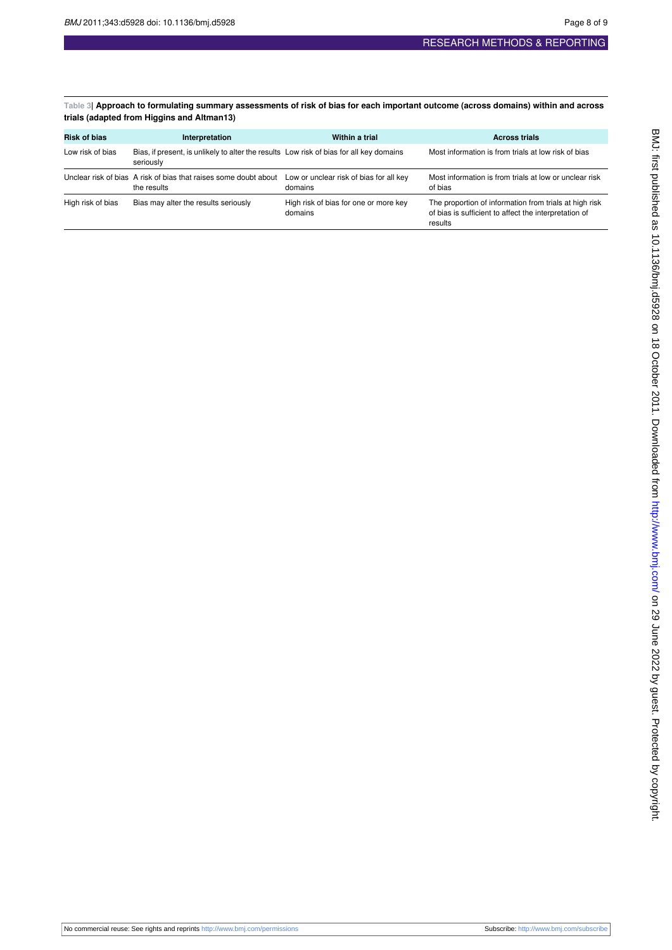<span id="page-7-0"></span>**Table 3| Approach to formulating summary assessments of risk of bias for each important outcome (across domains) within and across trials (adapted from Higgins and Altman13)**

| <b>Risk of bias</b> | Interpretation                                                                                       | Within a trial                                     | <b>Across trials</b>                                                                                                       |
|---------------------|------------------------------------------------------------------------------------------------------|----------------------------------------------------|----------------------------------------------------------------------------------------------------------------------------|
| Low risk of bias    | Bias, if present, is unlikely to alter the results Low risk of bias for all key domains<br>seriously |                                                    | Most information is from trials at low risk of bias                                                                        |
|                     | Unclear risk of bias A risk of bias that raises some doubt about<br>the results                      | Low or unclear risk of bias for all key<br>domains | Most information is from trials at low or unclear risk<br>of bias                                                          |
| High risk of bias   | Bias may alter the results seriously                                                                 | High risk of bias for one or more key<br>domains   | The proportion of information from trials at high risk<br>of bias is sufficient to affect the interpretation of<br>results |